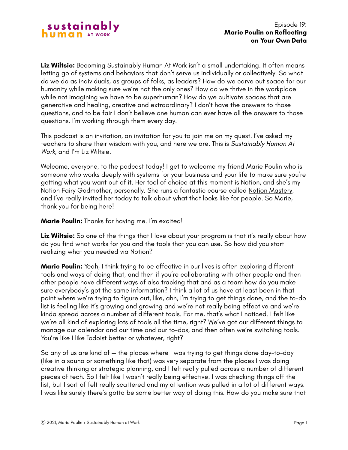

**Liz Wiltsie:** Becoming Sustainably Human At Work isn't a small undertaking. It often means letting go of systems and behaviors that don't serve us individually or collectively. So what do we do as individuals, as groups of folks, as leaders? How do we carve out space for our humanity while making sure we're not the only ones? How do we thrive in the workplace while not imagining we have to be superhuman? How do we cultivate spaces that are generative and healing, creative and extraordinary? I don't have the answers to those questions, and to be fair I don't believe one human can ever have all the answers to those questions. I'm working through them every day.

This podcast is an invitation, an invitation for you to join me on my quest. I've asked my teachers to share their wisdom with you, and here we are. This is *Sustainably Human At Work*, and I'm Liz Wiltsie.

Welcome, everyone, to the podcast today! I get to welcome my friend Marie Poulin who is someone who works deeply with systems for your business and your life to make sure you're getting what you want out of it. Her tool of choice at this moment is Notion, and she's my Notion Fairy Godmother, personally. She runs a fantastic course called [Notion Mastery](https://notionmastery.com/), and I've really invited her today to talk about what that looks like for people. So Marie, thank you for being here!

**Marie Poulin:** Thanks for having me. I'm excited!

**Liz Wiltsie:** So one of the things that I love about your program is that it's really about how do you find what works for you and the tools that you can use. So how did you start realizing what you needed via Notion?

**Marie Poulin:** Yeah, I think trying to be effective in our lives is often exploring different tools and ways of doing that, and then if you're collaborating with other people and then other people have different ways of also tracking that and as a team how do you make sure everybody's got the same information? I think a lot of us have at least been in that point where we're trying to figure out, like, ahh, I'm trying to get things done, and the to-do list is feeling like it's growing and growing and we're not really being effective and we're kinda spread across a number of different tools. For me, that's what I noticed. I felt like we're all kind of exploring lots of tools all the time, right? We've got our different things to manage our calendar and our time and our to-dos, and then often we're switching tools. You're like I like Todoist better or whatever, right?

So any of us are kind of — the places where I was trying to get things done day-to-day (like in a sauna or something like that) was very separate from the places I was doing creative thinking or strategic planning, and I felt really pulled across a number of different pieces of tech. So I felt like I wasn't really being effective. I was checking things off the list, but I sort of felt really scattered and my attention was pulled in a lot of different ways. I was like surely there's gotta be some better way of doing this. How do you make sure that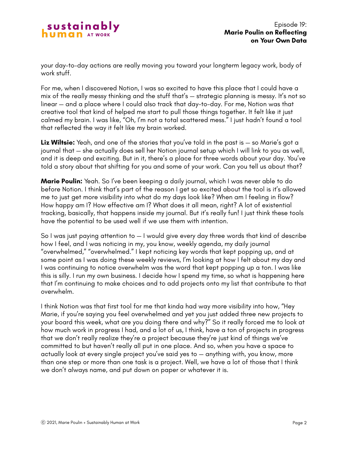

your day-to-day actions are really moving you toward your longterm legacy work, body of work stuff.

For me, when I discovered Notion, I was so excited to have this place that I could have a mix of the really messy thinking and the stuff that's — strategic planning is messy. It's not so linear — and a place where I could also track that day-to-day. For me, Notion was that creative tool that kind of helped me start to pull those things together. It felt like it just calmed my brain. I was like, "Oh, I'm not a total scattered mess." I just hadn't found a tool that reflected the way it felt like my brain worked.

**Liz Wiltsie:** Yeah, and one of the stories that you've told in the past is — so Marie's got a journal that — she actually does sell her Notion journal setup which I will link to you as well, and it is deep and exciting. But in it, there's a place for three words about your day. You've told a story about that shifting for you and some of your work. Can you tell us about that?

**Marie Poulin:** Yeah. So I've been keeping a daily journal, which I was never able to do before Notion. I think that's part of the reason I get so excited about the tool is it's allowed me to just get more visibility into what do my days look like? When am I feeling in flow? How happy am I? How effective am I? What does it all mean, right? A lot of existential tracking, basically, that happens inside my journal. But it's really fun! I just think these tools have the potential to be used well if we use them with intention.

So I was just paying attention to — I would give every day three words that kind of describe how I feel, and I was noticing in my, you know, weekly agenda, my daily journal "overwhelmed," "overwhelmed." I kept noticing key words that kept popping up, and at some point as I was doing these weekly reviews, I'm looking at how I felt about my day and I was continuing to notice overwhelm was the word that kept popping up a ton. I was like this is silly. I run my own business. I decide how I spend my time, so what is happening here that I'm continuing to make choices and to add projects onto my list that contribute to that overwhelm.

I think Notion was that first tool for me that kinda had way more visibility into how, "Hey Marie, if you're saying you feel overwhelmed and yet you just added three new projects to your board this week, what are you doing there and why?" So it really forced me to look at how much work in progress I had, and a lot of us, I think, have a ton of projects in progress that we don't really realize they're a project because they're just kind of things we've committed to but haven't really all put in one place. And so, when you have a space to actually look at every single project you've said yes to — anything with, you know, more than one step or more than one task is a project. Well, we have a lot of those that I think we don't always name, and put down on paper or whatever it is.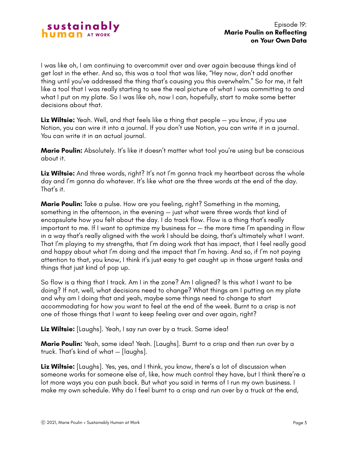I was like oh, I am continuing to overcommit over and over again because things kind of get lost in the ether. And so, this was a tool that was like, "Hey now, don't add another thing until you've addressed the thing that's causing you this overwhelm." So for me, it felt like a tool that I was really starting to see the real picture of what I was committing to and what I put on my plate. So I was like oh, now I can, hopefully, start to make some better decisions about that.

**Liz Wiltsie:** Yeah. Well, and that feels like a thing that people — you know, if you use Notion, you can wire it into a journal. If you don't use Notion, you can write it in a journal. You can write it in an actual journal.

**Marie Poulin:** Absolutely. It's like it doesn't matter what tool you're using but be conscious about it.

**Liz Wiltsie:** And three words, right? It's not I'm gonna track my heartbeat across the whole day and I'm gonna do whatever. It's like what are the three words at the end of the day. That's it.

**Marie Poulin:** Take a pulse. How are you feeling, right? Something in the morning, something in the afternoon, in the evening — just what were three words that kind of encapsulate how you felt about the day. I do track flow. Flow is a thing that's really important to me. If I want to optimize my business for — the more time I'm spending in flow in a way that's really aligned with the work I should be doing, that's ultimately what I want. That I'm playing to my strengths, that I'm doing work that has impact, that I feel really good and happy about what I'm doing and the impact that I'm having. And so, if I'm not paying attention to that, you know, I think it's just easy to get caught up in those urgent tasks and things that just kind of pop up.

So flow is a thing that I track. Am I in the zone? Am I aligned? Is this what I want to be doing? If not, well, what decisions need to change? What things am I putting on my plate and why am I doing that and yeah, maybe some things need to change to start accommodating for how you want to feel at the end of the week. Burnt to a crisp is not one of those things that I want to keep feeling over and over again, right?

**Liz Wiltsie:** [Laughs]. Yeah, I say run over by a truck. Same idea!

**Marie Poulin:** Yeah, same idea! Yeah. [Laughs]. Burnt to a crisp and then run over by a truck. That's kind of what — [laughs].

**Liz Wiltsie:** [Laughs]. Yes, yes, and I think, you know, there's a lot of discussion when someone works for someone else of, like, how much control they have, but I think there're a lot more ways you can push back. But what you said in terms of I run my own business. I make my own schedule. Why do I feel burnt to a crisp and run over by a truck at the end,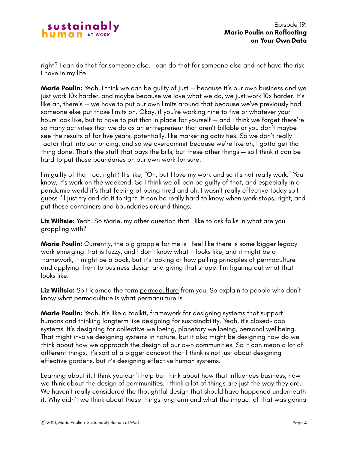

right? I can do that for someone else. I can do that for someone else and not have the risk I have in my life.

**Marie Poulin:** Yeah, I think we can be quilty of just – because it's our own business and we just work 10x harder, and maybe because we love what we do, we just work 10x harder. It's like ah, there's — we have to put our own limits around that because we've previously had someone else put those limits on. Okay, if you're working nine to five or whatever your hours look like, but to have to put that in place for yourself — and I think we forget there're so many activities that we do as an entrepreneur that aren't billable or you don't maybe see the results of for five years, potentially, like marketing activities. So we don't really factor that into our pricing, and so we overcommit because we're like oh, I gotta get that thing done. That's the stuff that pays the bills, but these other things — so I think it can be hard to put those boundaries on our own work for sure.

I'm guilty of that too, right? It's like, "Oh, but I love my work and so it's not really work." You know, it's work on the weekend. So I think we all can be guilty of that, and especially in a pandemic world it's that feeling of being tired and oh, I wasn't really effective today so I guess I'll just try and do it tonight. It can be really hard to know when work stops, right, and put those containers and boundaries around things.

**Liz Wiltsie:** Yeah. So Marie, my other question that I like to ask folks in what are you grappling with?

**Marie Poulin:** Currently, the big grapple for me is I feel like there is some bigger legacy work emerging that is fuzzy, and I don't know what it looks like, and it might be a framework, it might be a book, but it's looking at how pulling principles of permaculture and applying them to business design and giving that shape. I'm figuring out what that looks like.

Liz Wiltsie: So I learned the term [permaculture](https://en.wikipedia.org/wiki/Permaculture) from you. So explain to people who don't know what permaculture is what permaculture is.

**Marie Poulin:** Yeah, it's like a toolkit, framework for designing systems that support humans and thinking longterm like designing for sustainability. Yeah, it's closed-loop systems. It's designing for collective wellbeing, planetary wellbeing, personal wellbeing. That might involve designing systems in nature, but it also might be designing how do we think about how we approach the design of our own communities. So it can mean a lot of different things. It's sort of a bigger concept that I think is not just about designing effective gardens, but it's designing effective human systems.

Learning about it, I think you can't help but think about how that influences business, how we think about the design of communities. I think a lot of things are just the way they are. We haven't really considered the thoughtful design that should have happened underneath it. Why didn't we think about these things longterm and what the impact of that was gonna